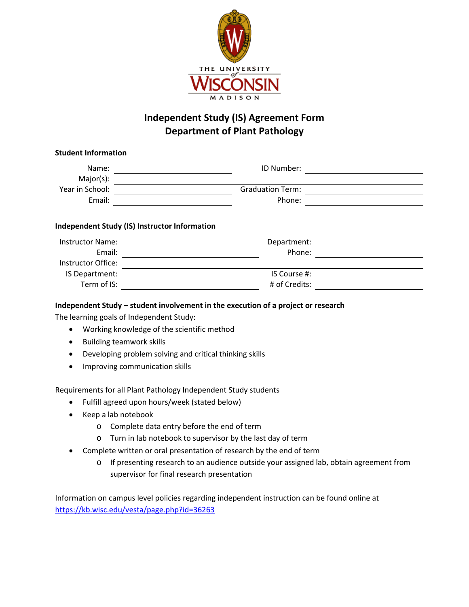

## **Independent Study (IS) Agreement Form Department of Plant Pathology**

| Name:                                                           | ID Number:              |  |
|-----------------------------------------------------------------|-------------------------|--|
| Major(s):                                                       |                         |  |
| Year in School:                                                 | <b>Graduation Term:</b> |  |
| Email:                                                          | Phone:                  |  |
|                                                                 |                         |  |
|                                                                 |                         |  |
| <b>Instructor Name:</b>                                         | Department:             |  |
| Email:                                                          | Phone:                  |  |
| Instructor Office:                                              |                         |  |
| Independent Study (IS) Instructor Information<br>IS Department: | IS Course #:            |  |

The learning goals of Independent Study:

- Working knowledge of the scientific method
- Building teamwork skills
- Developing problem solving and critical thinking skills
- Improving communication skills

Requirements for all Plant Pathology Independent Study students

- Fulfill agreed upon hours/week (stated below)
- Keep a lab notebook
	- o Complete data entry before the end of term
	- o Turn in lab notebook to supervisor by the last day of term
- Complete written or oral presentation of research by the end of term
	- o If presenting research to an audience outside your assigned lab, obtain agreement from supervisor for final research presentation

Information on campus level policies regarding independent instruction can be found online at <https://kb.wisc.edu/vesta/page.php?id=36263>